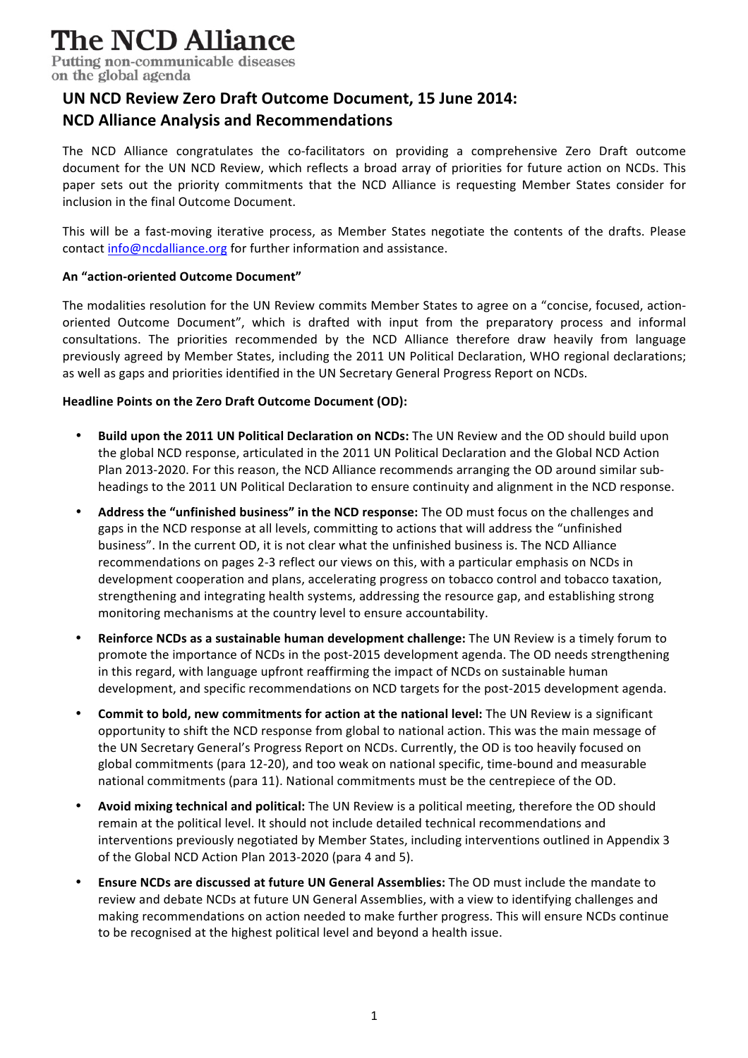# **The NCD Alliance**

Putting non-communicable diseases on the global agenda

### **UN NCD Review Zero Draft Outcome Document, 15 June 2014: NCD Alliance Analysis and Recommendations**

The NCD Alliance congratulates the co-facilitators on providing a comprehensive Zero Draft outcome document for the UN NCD Review, which reflects a broad array of priorities for future action on NCDs. This paper sets out the priority commitments that the NCD Alliance is requesting Member States consider for inclusion in the final Outcome Document.

This will be a fast-moving iterative process, as Member States negotiate the contents of the drafts. Please contact info@ncdalliance.org for further information and assistance.

#### **An "action-oriented Outcome Document"**

The modalities resolution for the UN Review commits Member States to agree on a "concise, focused, actionoriented Outcome Document", which is drafted with input from the preparatory process and informal consultations. The priorities recommended by the NCD Alliance therefore draw heavily from language previously agreed by Member States, including the 2011 UN Political Declaration, WHO regional declarations; as well as gaps and priorities identified in the UN Secretary General Progress Report on NCDs.

#### **Headline Points on the Zero Draft Outcome Document (OD):**

- Build upon the 2011 UN Political Declaration on NCDs: The UN Review and the OD should build upon the global NCD response, articulated in the 2011 UN Political Declaration and the Global NCD Action Plan 2013-2020. For this reason, the NCD Alliance recommends arranging the OD around similar subheadings to the 2011 UN Political Declaration to ensure continuity and alignment in the NCD response.
- Address the "unfinished business" in the NCD response: The OD must focus on the challenges and gaps in the NCD response at all levels, committing to actions that will address the "unfinished business". In the current OD, it is not clear what the unfinished business is. The NCD Alliance recommendations on pages 2-3 reflect our views on this, with a particular emphasis on NCDs in development cooperation and plans, accelerating progress on tobacco control and tobacco taxation, strengthening and integrating health systems, addressing the resource gap, and establishing strong monitoring mechanisms at the country level to ensure accountability.
- **Reinforce NCDs as a sustainable human development challenge:** The UN Review is a timely forum to promote the importance of NCDs in the post-2015 development agenda. The OD needs strengthening in this regard, with language upfront reaffirming the impact of NCDs on sustainable human development, and specific recommendations on NCD targets for the post-2015 development agenda.
- Commit to bold, new commitments for action at the national level: The UN Review is a significant opportunity to shift the NCD response from global to national action. This was the main message of the UN Secretary General's Progress Report on NCDs. Currently, the OD is too heavily focused on global commitments (para 12-20), and too weak on national specific, time-bound and measurable national commitments (para 11). National commitments must be the centrepiece of the OD.
- Avoid mixing technical and political: The UN Review is a political meeting, therefore the OD should remain at the political level. It should not include detailed technical recommendations and interventions previously negotiated by Member States, including interventions outlined in Appendix 3 of the Global NCD Action Plan 2013-2020 (para 4 and 5).
- **Ensure NCDs are discussed at future UN General Assemblies:** The OD must include the mandate to review and debate NCDs at future UN General Assemblies, with a view to identifying challenges and making recommendations on action needed to make further progress. This will ensure NCDs continue to be recognised at the highest political level and beyond a health issue.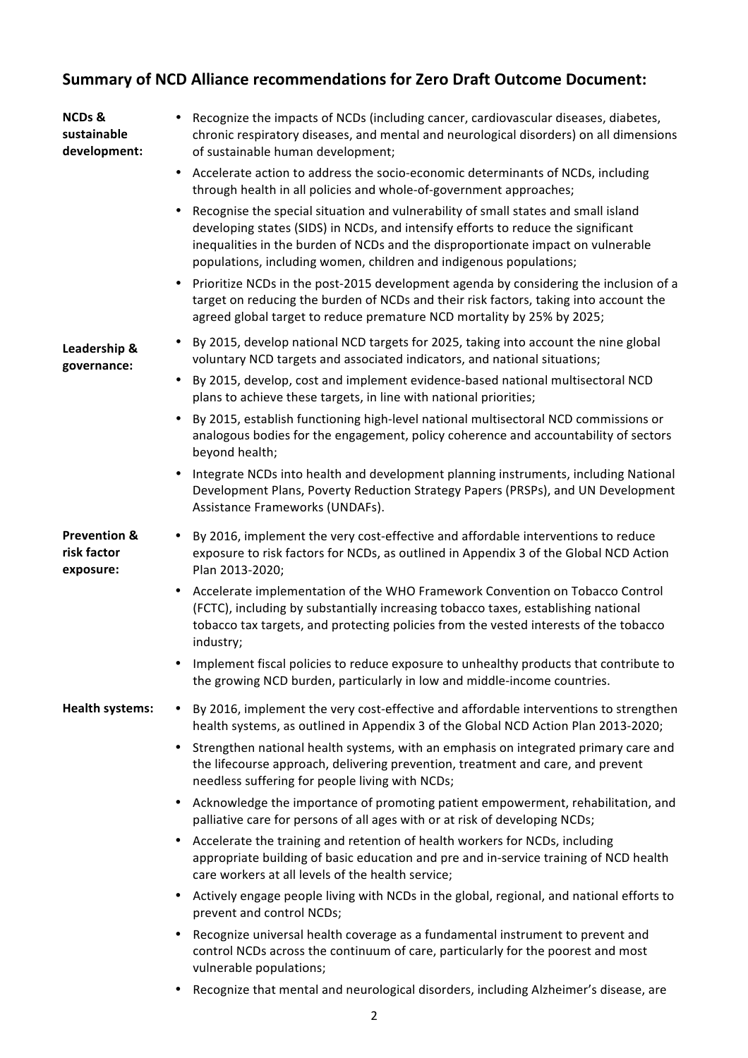## **Summary of NCD Alliance recommendations for Zero Draft Outcome Document:**

| <b>NCDs &amp;</b><br>sustainable<br>development:    | Recognize the impacts of NCDs (including cancer, cardiovascular diseases, diabetes,<br>chronic respiratory diseases, and mental and neurological disorders) on all dimensions<br>of sustainable human development;                                                                                                                     |
|-----------------------------------------------------|----------------------------------------------------------------------------------------------------------------------------------------------------------------------------------------------------------------------------------------------------------------------------------------------------------------------------------------|
|                                                     | Accelerate action to address the socio-economic determinants of NCDs, including<br>$\bullet$<br>through health in all policies and whole-of-government approaches;                                                                                                                                                                     |
|                                                     | Recognise the special situation and vulnerability of small states and small island<br>٠<br>developing states (SIDS) in NCDs, and intensify efforts to reduce the significant<br>inequalities in the burden of NCDs and the disproportionate impact on vulnerable<br>populations, including women, children and indigenous populations; |
|                                                     | Prioritize NCDs in the post-2015 development agenda by considering the inclusion of a<br>target on reducing the burden of NCDs and their risk factors, taking into account the<br>agreed global target to reduce premature NCD mortality by 25% by 2025;                                                                               |
| Leadership &<br>governance:                         | By 2015, develop national NCD targets for 2025, taking into account the nine global<br>voluntary NCD targets and associated indicators, and national situations;                                                                                                                                                                       |
|                                                     | By 2015, develop, cost and implement evidence-based national multisectoral NCD<br>plans to achieve these targets, in line with national priorities;                                                                                                                                                                                    |
|                                                     | By 2015, establish functioning high-level national multisectoral NCD commissions or<br>analogous bodies for the engagement, policy coherence and accountability of sectors<br>beyond health;                                                                                                                                           |
|                                                     | Integrate NCDs into health and development planning instruments, including National<br>Development Plans, Poverty Reduction Strategy Papers (PRSPs), and UN Development<br>Assistance Frameworks (UNDAFs).                                                                                                                             |
| <b>Prevention &amp;</b><br>risk factor<br>exposure: | By 2016, implement the very cost-effective and affordable interventions to reduce<br>$\bullet$<br>exposure to risk factors for NCDs, as outlined in Appendix 3 of the Global NCD Action<br>Plan 2013-2020;                                                                                                                             |
|                                                     | Accelerate implementation of the WHO Framework Convention on Tobacco Control<br>(FCTC), including by substantially increasing tobacco taxes, establishing national<br>tobacco tax targets, and protecting policies from the vested interests of the tobacco<br>industry;                                                               |
|                                                     | Implement fiscal policies to reduce exposure to unhealthy products that contribute to<br>٠<br>the growing NCD burden, particularly in low and middle-income countries.                                                                                                                                                                 |
| <b>Health systems:</b>                              | By 2016, implement the very cost-effective and affordable interventions to strengthen<br>$\bullet$<br>health systems, as outlined in Appendix 3 of the Global NCD Action Plan 2013-2020;                                                                                                                                               |
|                                                     | Strengthen national health systems, with an emphasis on integrated primary care and<br>$\bullet$<br>the lifecourse approach, delivering prevention, treatment and care, and prevent<br>needless suffering for people living with NCDs;                                                                                                 |
|                                                     | Acknowledge the importance of promoting patient empowerment, rehabilitation, and<br>palliative care for persons of all ages with or at risk of developing NCDs;                                                                                                                                                                        |
|                                                     | Accelerate the training and retention of health workers for NCDs, including<br>appropriate building of basic education and pre and in-service training of NCD health<br>care workers at all levels of the health service;                                                                                                              |
|                                                     | Actively engage people living with NCDs in the global, regional, and national efforts to<br>prevent and control NCDs;                                                                                                                                                                                                                  |
|                                                     | Recognize universal health coverage as a fundamental instrument to prevent and<br>control NCDs across the continuum of care, particularly for the poorest and most<br>vulnerable populations;                                                                                                                                          |
|                                                     | Recognize that mental and neurological disorders, including Alzheimer's disease, are<br>٠                                                                                                                                                                                                                                              |